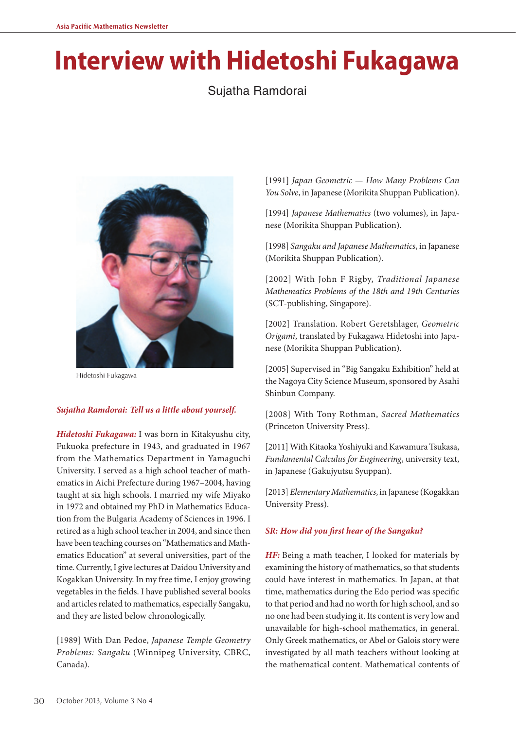# **Interview with Hidetoshi Fukagawa**

Sujatha Ramdorai



Hidetoshi Fukagawa

#### *Sujatha Ramdorai: Tell us a little about yourself.*

*Hidetoshi Fukagawa:* I was born in Kitakyushu city, Fukuoka prefecture in 1943, and graduated in 1967 from the Mathematics Department in Yamaguchi University. I served as a high school teacher of mathematics in Aichi Prefecture during 1967–2004, having taught at six high schools. I married my wife Miyako in 1972 and obtained my PhD in Mathematics Education from the Bulgaria Academy of Sciences in 1996. I retired as a high school teacher in 2004, and since then have been teaching courses on "Mathematics and Mathematics Education" at several universities, part of the time. Currently, I give lectures at Daidou University and Kogakkan University. In my free time, I enjoy growing vegetables in the fields. I have published several books and articles related to mathematics, especially Sangaku, and they are listed below chronologically.

[1989] With Dan Pedoe, *Japanese Temple Geometry Problems: Sangaku* (Winnipeg University, CBRC, Canada).

[1991] *Japan Geometric — How Many Problems Can You Solve*, in Japanese (Morikita Shuppan Publication).

[1994] *Japanese Mathematics* (two volumes), in Japanese (Morikita Shuppan Publication).

[1998] *Sangaku and Japanese Mathematics*, in Japanese (Morikita Shuppan Publication).

[2002] With John F Rigby, *Traditional Japanese Mathematics Problems of the 18th and 19th Centuries* (SCT-publishing, Singapore).

[2002] Translation. Robert Geretshlager, *Geometric Origami*, translated by Fukagawa Hidetoshi into Japanese (Morikita Shuppan Publication).

[2005] Supervised in "Big Sangaku Exhibition" held at the Nagoya City Science Museum, sponsored by Asahi Shinbun Company.

[2008] With Tony Rothman, *Sacred Mathematics* (Princeton University Press).

[2011] With Kitaoka Yoshiyuki and Kawamura Tsukasa, *Fundamental Calculus for Engineering*, university text, in Japanese (Gakujyutsu Syuppan).

[2013] *Elementary Mathematics*, in Japanese (Kogakkan University Press).

#### *SR: How did you first hear of the Sangaku?*

*HF*: Being a math teacher, I looked for materials by examining the history of mathematics, so that students could have interest in mathematics. In Japan, at that time, mathematics during the Edo period was specific to that period and had no worth for high school, and so no one had been studying it. Its content is very low and unavailable for high-school mathematics, in general. Only Greek mathematics, or Abel or Galois story were investigated by all math teachers without looking at the mathematical content. Mathematical contents of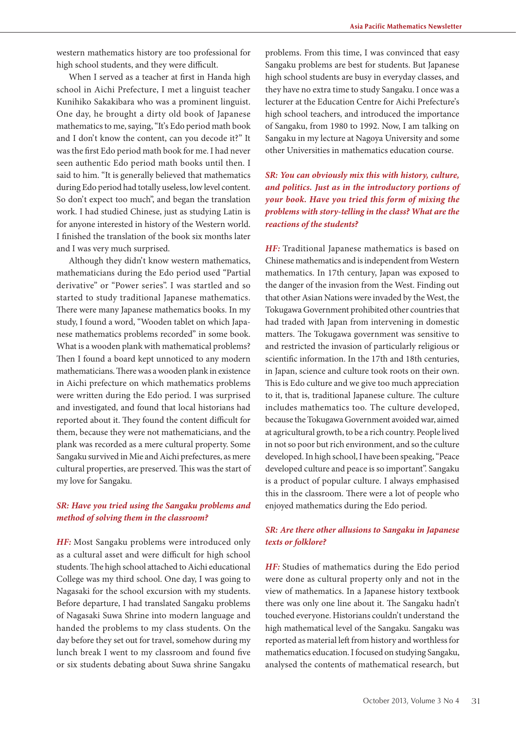western mathematics history are too professional for high school students, and they were difficult.

When I served as a teacher at first in Handa high school in Aichi Prefecture, I met a linguist teacher Kunihiko Sakakibara who was a prominent linguist. One day, he brought a dirty old book of Japanese mathematics to me, saying, "It's Edo period math book and I don't know the content, can you decode it?" It was the first Edo period math book for me. I had never seen authentic Edo period math books until then. I said to him. "It is generally believed that mathematics during Edo period had totally useless, low level content. So don't expect too much", and began the translation work. I had studied Chinese, just as studying Latin is for anyone interested in history of the Western world. I finished the translation of the book six months later and I was very much surprised.

Although they didn't know western mathematics, mathematicians during the Edo period used "Partial derivative" or "Power series". I was startled and so started to study traditional Japanese mathematics. There were many Japanese mathematics books. In my study, I found a word, "Wooden tablet on which Japanese mathematics problems recorded" in some book. What is a wooden plank with mathematical problems? Then I found a board kept unnoticed to any modern mathematicians. There was a wooden plank in existence in Aichi prefecture on which mathematics problems were written during the Edo period. I was surprised and investigated, and found that local historians had reported about it. They found the content difficult for them, because they were not mathematicians, and the plank was recorded as a mere cultural property. Some Sangaku survived in Mie and Aichi prefectures, as mere cultural properties, are preserved. This was the start of my love for Sangaku.

## *SR: Have you tried using the Sangaku problems and method of solving them in the classroom?*

*HF:* Most Sangaku problems were introduced only as a cultural asset and were difficult for high school students. The high school attached to Aichi educational College was my third school. One day, I was going to Nagasaki for the school excursion with my students. Before departure, I had translated Sangaku problems of Nagasaki Suwa Shrine into modern language and handed the problems to my class students. On the day before they set out for travel, somehow during my lunch break I went to my classroom and found five or six students debating about Suwa shrine Sangaku

problems. From this time, I was convinced that easy Sangaku problems are best for students. But Japanese high school students are busy in everyday classes, and they have no extra time to study Sangaku. I once was a lecturer at the Education Centre for Aichi Prefecture's high school teachers, and introduced the importance of Sangaku, from 1980 to 1992. Now, I am talking on Sangaku in my lecture at Nagoya University and some other Universities in mathematics education course.

*SR: You can obviously mix this with history, culture, and politics. Just as in the introductory portions of your book. Have you tried this form of mixing the problems with story-telling in the class? What are the reactions of the students?*

*HF:* Traditional Japanese mathematics is based on Chinese mathematics and is independent from Western mathematics. In 17th century, Japan was exposed to the danger of the invasion from the West. Finding out that other Asian Nations were invaded by the West, the Tokugawa Government prohibited other countries that had traded with Japan from intervening in domestic matters. The Tokugawa government was sensitive to and restricted the invasion of particularly religious or scientific information. In the 17th and 18th centuries, in Japan, science and culture took roots on their own. This is Edo culture and we give too much appreciation to it, that is, traditional Japanese culture. The culture includes mathematics too. The culture developed, because the Tokugawa Government avoided war, aimed at agricultural growth, to be a rich country. People lived in not so poor but rich environment, and so the culture developed. In high school, I have been speaking, "Peace developed culture and peace is so important". Sangaku is a product of popular culture. I always emphasised this in the classroom. There were a lot of people who enjoyed mathematics during the Edo period.

#### *SR: Are there other allusions to Sangaku in Japanese texts or folklore?*

*HF:* Studies of mathematics during the Edo period were done as cultural property only and not in the view of mathematics. In a Japanese history textbook there was only one line about it. The Sangaku hadn't touched everyone. Historians couldn't understand the high mathematical level of the Sangaku. Sangaku was reported as material left from history and worthless for mathematics education. I focused on studying Sangaku, analysed the contents of mathematical research, but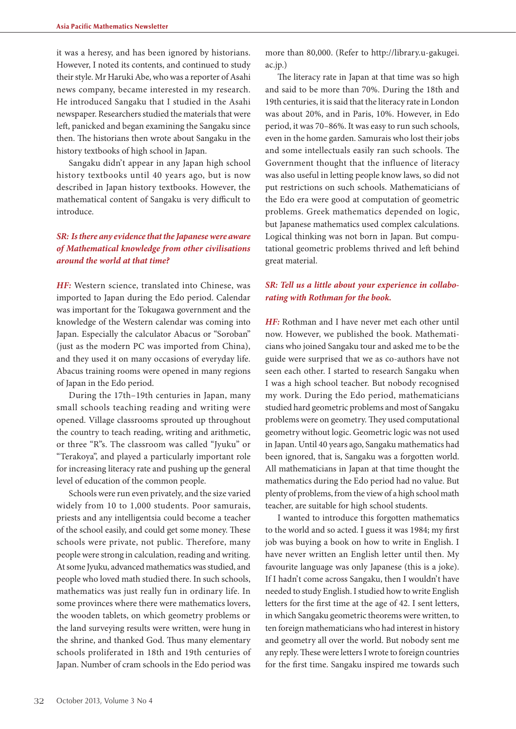it was a heresy, and has been ignored by historians. However, I noted its contents, and continued to study their style. Mr Haruki Abe, who was a reporter of Asahi news company, became interested in my research. He introduced Sangaku that I studied in the Asahi newspaper. Researchers studied the materials that were left, panicked and began examining the Sangaku since then. The historians then wrote about Sangaku in the history textbooks of high school in Japan.

Sangaku didn't appear in any Japan high school history textbooks until 40 years ago, but is now described in Japan history textbooks. However, the mathematical content of Sangaku is very difficult to introduce.

## *SR: Is there any evidence that the Japanese were aware of Mathematical knowledge from other civilisations around the world at that time?*

*HF:* Western science, translated into Chinese, was imported to Japan during the Edo period. Calendar was important for the Tokugawa government and the knowledge of the Western calendar was coming into Japan. Especially the calculator Abacus or "Soroban" (just as the modern PC was imported from China), and they used it on many occasions of everyday life. Abacus training rooms were opened in many regions of Japan in the Edo period.

During the 17th–19th centuries in Japan, many small schools teaching reading and writing were opened. Village classrooms sprouted up throughout the country to teach reading, writing and arithmetic, or three "R"s. The classroom was called "Jyuku" or "Terakoya", and played a particularly important role for increasing literacy rate and pushing up the general level of education of the common people.

Schools were run even privately, and the size varied widely from 10 to 1,000 students. Poor samurais, priests and any intelligentsia could become a teacher of the school easily, and could get some money. These schools were private, not public. Therefore, many people were strong in calculation, reading and writing. At some Jyuku, advanced mathematics was studied, and people who loved math studied there. In such schools, mathematics was just really fun in ordinary life. In some provinces where there were mathematics lovers, the wooden tablets, on which geometry problems or the land surveying results were written, were hung in the shrine, and thanked God. Thus many elementary schools proliferated in 18th and 19th centuries of Japan. Number of cram schools in the Edo period was

more than 80,000. (Refer to http://library.u-gakugei. ac.jp.)

The literacy rate in Japan at that time was so high and said to be more than 70%. During the 18th and 19th centuries, it is said that the literacy rate in London was about 20%, and in Paris, 10%. However, in Edo period, it was 70–86%. It was easy to run such schools, even in the home garden. Samurais who lost their jobs and some intellectuals easily ran such schools. The Government thought that the influence of literacy was also useful in letting people know laws, so did not put restrictions on such schools. Mathematicians of the Edo era were good at computation of geometric problems. Greek mathematics depended on logic, but Japanese mathematics used complex calculations. Logical thinking was not born in Japan. But computational geometric problems thrived and left behind great material.

#### *SR: Tell us a little about your experience in collaborating with Rothman for the book.*

*HF:* Rothman and I have never met each other until now. However, we published the book. Mathematicians who joined Sangaku tour and asked me to be the guide were surprised that we as co-authors have not seen each other. I started to research Sangaku when I was a high school teacher. But nobody recognised my work. During the Edo period, mathematicians studied hard geometric problems and most of Sangaku problems were on geometry. They used computational geometry without logic. Geometric logic was not used in Japan. Until 40 years ago, Sangaku mathematics had been ignored, that is, Sangaku was a forgotten world. All mathematicians in Japan at that time thought the mathematics during the Edo period had no value. But plenty of problems, from the view of a high school math teacher, are suitable for high school students.

I wanted to introduce this forgotten mathematics to the world and so acted. I guess it was 1984; my first job was buying a book on how to write in English. I have never written an English letter until then. My favourite language was only Japanese (this is a joke). If I hadn't come across Sangaku, then I wouldn't have needed to study English. I studied how to write English letters for the first time at the age of 42. I sent letters, in which Sangaku geometric theorems were written, to ten foreign mathematicians who had interest in history and geometry all over the world. But nobody sent me any reply. These were letters I wrote to foreign countries for the first time. Sangaku inspired me towards such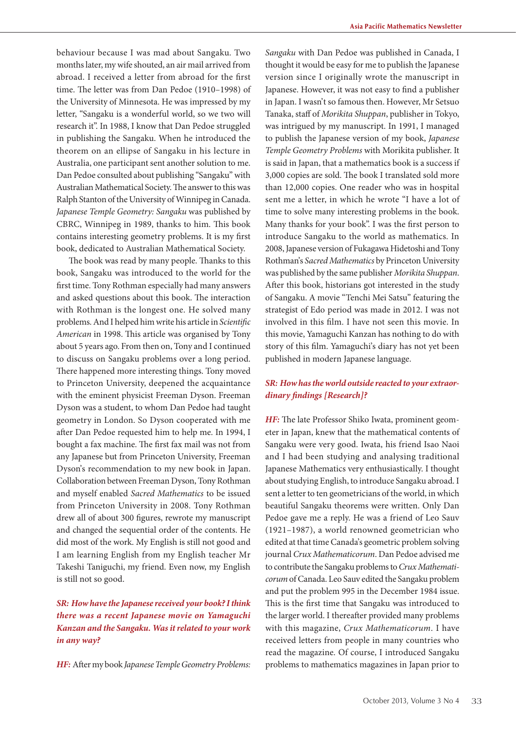behaviour because I was mad about Sangaku. Two months later, my wife shouted, an air mail arrived from abroad. I received a letter from abroad for the first time. The letter was from Dan Pedoe (1910–1998) of the University of Minnesota. He was impressed by my letter, "Sangaku is a wonderful world, so we two will research it". In 1988, I know that Dan Pedoe struggled in publishing the Sangaku. When he introduced the theorem on an ellipse of Sangaku in his lecture in Australia, one participant sent another solution to me. Dan Pedoe consulted about publishing "Sangaku" with Australian Mathematical Society. The answer to this was Ralph Stanton of the University of Winnipeg in Canada. *Japanese Temple Geometry: Sangaku* was published by CBRC, Winnipeg in 1989, thanks to him. This book contains interesting geometry problems. It is my first book, dedicated to Australian Mathematical Society.

The book was read by many people. Thanks to this book, Sangaku was introduced to the world for the first time. Tony Rothman especially had many answers and asked questions about this book. The interaction with Rothman is the longest one. He solved many problems. And I helped him write his article in *Scientific American* in 1998. This article was organised by Tony about 5 years ago. From then on, Tony and I continued to discuss on Sangaku problems over a long period. There happened more interesting things. Tony moved to Princeton University, deepened the acquaintance with the eminent physicist Freeman Dyson. Freeman Dyson was a student, to whom Dan Pedoe had taught geometry in London. So Dyson cooperated with me after Dan Pedoe requested him to help me. In 1994, I bought a fax machine. The first fax mail was not from any Japanese but from Princeton University, Freeman Dyson's recommendation to my new book in Japan. Collaboration between Freeman Dyson, Tony Rothman and myself enabled *Sacred Mathematics* to be issued from Princeton University in 2008. Tony Rothman drew all of about 300 figures, rewrote my manuscript and changed the sequential order of the contents. He did most of the work. My English is still not good and I am learning English from my English teacher Mr Takeshi Taniguchi, my friend. Even now, my English is still not so good.

# *SR: How have the Japanese received your book? I think there was a recent Japanese movie on Yamaguchi Kanzan and the Sangaku. Was it related to your work in any way?*

*HF:* After my book *Japanese Temple Geometry Problems:* 

*Sangaku* with Dan Pedoe was published in Canada, I thought it would be easy for me to publish the Japanese version since I originally wrote the manuscript in Japanese. However, it was not easy to find a publisher in Japan. I wasn't so famous then. However, Mr Setsuo Tanaka, staff of *Morikita Shuppan*, publisher in Tokyo, was intrigued by my manuscript. In 1991, I managed to publish the Japanese version of my book, *Japanese Temple Geometry Problems* with Morikita publisher. It is said in Japan, that a mathematics book is a success if 3,000 copies are sold. The book I translated sold more than 12,000 copies. One reader who was in hospital sent me a letter, in which he wrote "I have a lot of time to solve many interesting problems in the book. Many thanks for your book". I was the first person to introduce Sangaku to the world as mathematics. In 2008, Japanese version of Fukagawa Hidetoshi and Tony Rothman's *Sacred Mathematics* by Princeton University was published by the same publisher *Morikita Shuppan*. After this book, historians got interested in the study of Sangaku. A movie "Tenchi Mei Satsu" featuring the strategist of Edo period was made in 2012. I was not involved in this film. I have not seen this movie. In this movie, Yamaguchi Kanzan has nothing to do with story of this film. Yamaguchi's diary has not yet been published in modern Japanese language.

#### *SR: How has the world outside reacted to your extraordinary findings [Research]?*

*HF:* The late Professor Shiko Iwata, prominent geometer in Japan, knew that the mathematical contents of Sangaku were very good. Iwata, his friend Isao Naoi and I had been studying and analysing traditional Japanese Mathematics very enthusiastically. I thought about studying English, to introduce Sangaku abroad. I sent a letter to ten geometricians of the world, in which beautiful Sangaku theorems were written. Only Dan Pedoe gave me a reply. He was a friend of Leo Sauv (1921–1987), a world renowned geometrician who edited at that time Canada's geometric problem solving journal *Crux Mathematicorum*. Dan Pedoe advised me to contribute the Sangaku problems to *Crux Mathematicorum* of Canada. Leo Sauv edited the Sangaku problem and put the problem 995 in the December 1984 issue. This is the first time that Sangaku was introduced to the larger world. I thereafter provided many problems with this magazine, *Crux Mathematicorum*. I have received letters from people in many countries who read the magazine. Of course, I introduced Sangaku problems to mathematics magazines in Japan prior to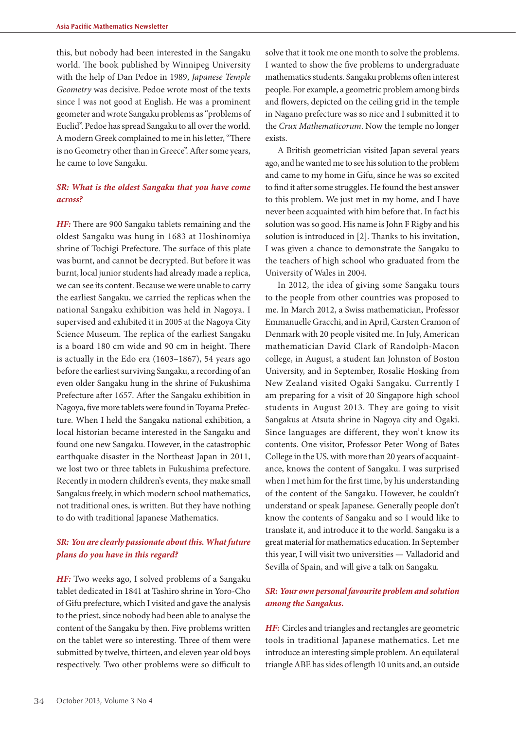this, but nobody had been interested in the Sangaku world. The book published by Winnipeg University with the help of Dan Pedoe in 1989, *Japanese Temple Geometry* was decisive. Pedoe wrote most of the texts since I was not good at English. He was a prominent geometer and wrote Sangaku problems as "problems of Euclid". Pedoe has spread Sangaku to all over the world. A modern Greek complained to me in his letter, "There is no Geometry other than in Greece". After some years, he came to love Sangaku.

#### *SR: What is the oldest Sangaku that you have come across?*

*HF:* There are 900 Sangaku tablets remaining and the oldest Sangaku was hung in 1683 at Hoshinomiya shrine of Tochigi Prefecture. The surface of this plate was burnt, and cannot be decrypted. But before it was burnt, local junior students had already made a replica, we can see its content. Because we were unable to carry the earliest Sangaku, we carried the replicas when the national Sangaku exhibition was held in Nagoya. I supervised and exhibited it in 2005 at the Nagoya City Science Museum. The replica of the earliest Sangaku is a board 180 cm wide and 90 cm in height. There is actually in the Edo era (1603–1867), 54 years ago before the earliest surviving Sangaku, a recording of an even older Sangaku hung in the shrine of Fukushima Prefecture after 1657. After the Sangaku exhibition in Nagoya, five more tablets were found in Toyama Prefecture. When I held the Sangaku national exhibition, a local historian became interested in the Sangaku and found one new Sangaku. However, in the catastrophic earthquake disaster in the Northeast Japan in 2011, we lost two or three tablets in Fukushima prefecture. Recently in modern children's events, they make small Sangakus freely, in which modern school mathematics, not traditional ones, is written. But they have nothing to do with traditional Japanese Mathematics.

#### *SR: You are clearly passionate about this. What future plans do you have in this regard?*

*HF:* Two weeks ago, I solved problems of a Sangaku tablet dedicated in 1841 at Tashiro shrine in Yoro-Cho of Gifu prefecture, which I visited and gave the analysis to the priest, since nobody had been able to analyse the content of the Sangaku by then. Five problems written on the tablet were so interesting. Three of them were submitted by twelve, thirteen, and eleven year old boys respectively. Two other problems were so difficult to solve that it took me one month to solve the problems. I wanted to show the five problems to undergraduate mathematics students. Sangaku problems often interest people. For example, a geometric problem among birds and flowers, depicted on the ceiling grid in the temple in Nagano prefecture was so nice and I submitted it to the *Crux Mathematicorum*. Now the temple no longer exists.

A British geometrician visited Japan several years ago, and he wanted me to see his solution to the problem and came to my home in Gifu, since he was so excited to find it after some struggles. He found the best answer to this problem. We just met in my home, and I have never been acquainted with him before that. In fact his solution was so good. His name is John F Rigby and his solution is introduced in [2]. Thanks to his invitation, I was given a chance to demonstrate the Sangaku to the teachers of high school who graduated from the University of Wales in 2004.

In 2012, the idea of giving some Sangaku tours to the people from other countries was proposed to me. In March 2012, a Swiss mathematician, Professor Emmanuelle Gracchi, and in April, Carsten Cramon of Denmark with 20 people visited me. In July, American mathematician David Clark of Randolph-Macon college, in August, a student Ian Johnston of Boston University, and in September, Rosalie Hosking from New Zealand visited Ogaki Sangaku. Currently I am preparing for a visit of 20 Singapore high school students in August 2013. They are going to visit Sangakus at Atsuta shrine in Nagoya city and Ogaki. Since languages are different, they won't know its contents. One visitor, Professor Peter Wong of Bates College in the US, with more than 20 years of acquaintance, knows the content of Sangaku. I was surprised when I met him for the first time, by his understanding of the content of the Sangaku. However, he couldn't understand or speak Japanese. Generally people don't know the contents of Sangaku and so I would like to translate it, and introduce it to the world. Sangaku is a great material for mathematics education. In September this year, I will visit two universities — Valladorid and Sevilla of Spain, and will give a talk on Sangaku.

#### *SR: Your own personal favourite problem and solution among the Sangakus.*

*HF:* Circles and triangles and rectangles are geometric tools in traditional Japanese mathematics. Let me introduce an interesting simple problem. An equilateral triangle ABE has sides of length 10 units and, an outside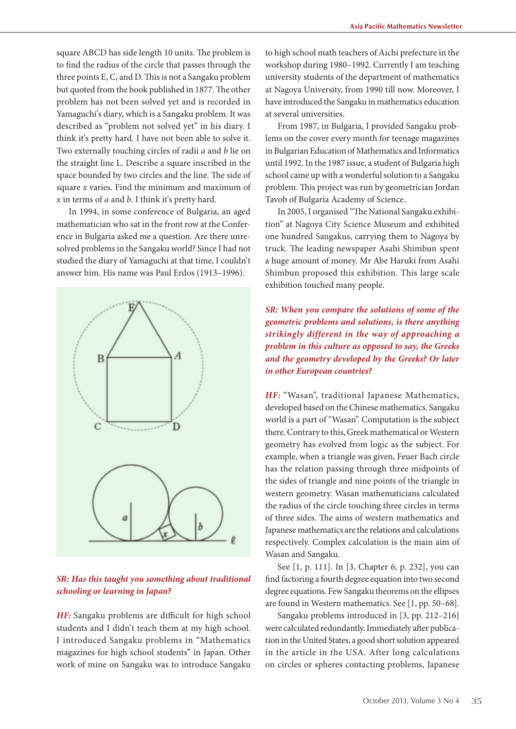square ABCD has side length 10 units. The problem is to find the radius of the circle that passes through the three points E, C, and D. This is not a Sangaku problem but quoted from the book published in 1877. The other problem has not been solved yet and is recorded in Yamaguchi's diary, which is a Sangaku problem. It was described as "problem not solved yet" in his diary. I think it's pretty hard. I have not been able to solve it. Two externally touching circles of radii *a* and *b* lie on the straight line L. Describe a square inscribed in the space bounded by two circles and the line. The side of square *x* varies. Find the minimum and maximum of *x* in terms of *a* and *b*. I think it's pretty hard.

In 1994, in some conference of Bulgaria, an aged mathematician who sat in the front row at the Conference in Bulgaria asked me a question. Are there unresolved problems in the Sangaku world? Since I had not studied the diary of Yamaguchi at that time, I couldn't answer him. His name was Paul Erdos (1913–1996).



## *SR: Has this taught you something about traditional schooling or learning in Japan?*

*HF:* Sangaku problems are difficult for high school students and I didn't teach them at my high school. I introduced Sangaku problems in "Mathematics magazines for high school students" in Japan. Other work of mine on Sangaku was to introduce Sangaku

to high school math teachers of Aichi prefecture in the workshop during 1980–1992. Currently I am teaching university students of the department of mathematics at Nagoya University, from 1990 till now. Moreover, I have introduced the Sangaku in mathematics education at several universities.

From 1987, in Bulgaria, I provided Sangaku problems on the cover every month for teenage magazines in Bulgarian Education of Mathematics and Informatics until 1992. In the 1987 issue, a student of Bulgaria high school came up with a wonderful solution to a Sangaku problem. This project was run by geometrician Jordan Tavob of Bulgaria Academy of Science.

In 2005, I organised "The National Sangaku exhibition" at Nagoya City Science Museum and exhibited one hundred Sangakus, carrying them to Nagoya by truck. The leading newspaper Asahi Shimbun spent a huge amount of money. Mr Abe Haruki from Asahi Shimbun proposed this exhibition. This large scale exhibition touched many people.

*SR: When you compare the solutions of some of the geometric problems and solutions, is there anything strikingly different in the way of approaching a problem in this culture as opposed to say, the Greeks and the geometry developed by the Greeks? Or later in other European countries?*

*HF:* "Wasan", traditional Japanese Mathematics, developed based on the Chinese mathematics. Sangaku world is a part of "Wasan". Computation is the subject there. Contrary to this, Greek mathematical or Western geometry has evolved from logic as the subject. For example, when a triangle was given, Feuer Bach circle has the relation passing through three midpoints of the sides of triangle and nine points of the triangle in western geometry. Wasan mathematicians calculated the radius of the circle touching three circles in terms of three sides. The aims of western mathematics and Japanese mathematics are the relations and calculations respectively. Complex calculation is the main aim of Wasan and Sangaku.

See [1, p. 111]. In [3, Chapter 6, p. 232], you can find factoring a fourth degree equation into two second degree equations. Few Sangaku theorems on the ellipses are found in Western mathematics. See [1, pp. 50–68].

Sangaku problems introduced in [3, pp. 212–216] were calculated redundantly. Immediately after publication in the United States, a good short solution appeared in the article in the USA. After long calculations on circles or spheres contacting problems, Japanese